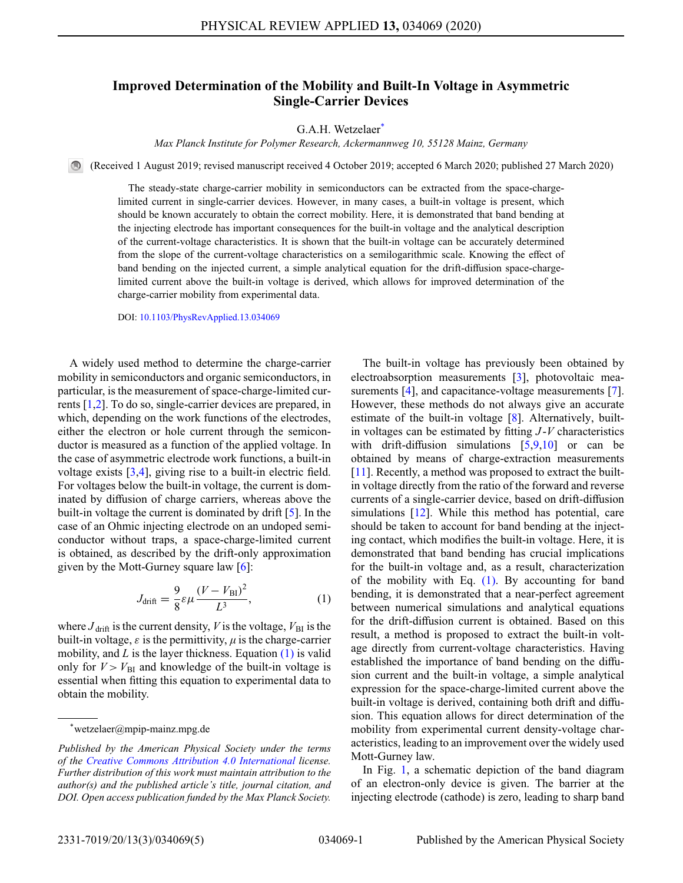## **Improved Determination of the Mobility and Built-In Voltage in Asymmetric Single-Carrier Devices**

G.A.H. Wetzelaer<sup>\*</sup>

*Max Planck Institute for Polymer Research, Ackermannweg 10, 55128 Mainz, Germany*

(Received 1 August 2019; revised manuscript received 4 October 2019; accepted 6 March 2020; published 27 March 2020)

The steady-state charge-carrier mobility in semiconductors can be extracted from the space-chargelimited current in single-carrier devices. However, in many cases, a built-in voltage is present, which should be known accurately to obtain the correct mobility. Here, it is demonstrated that band bending at the injecting electrode has important consequences for the built-in voltage and the analytical description of the current-voltage characteristics. It is shown that the built-in voltage can be accurately determined from the slope of the current-voltage characteristics on a semilogarithmic scale. Knowing the effect of band bending on the injected current, a simple analytical equation for the drift-diffusion space-chargelimited current above the built-in voltage is derived, which allows for improved determination of the charge-carrier mobility from experimental data.

DOI: [10.1103/PhysRevApplied.13.034069](http://dx.doi.org/10.1103/PhysRevApplied.13.034069)

A widely used method to determine the charge-carrier mobility in semiconductors and organic semiconductors, in particular, is the measurement of space-charge-limited currents [\[1](#page-4-0)[,2\]](#page-4-1). To do so, single-carrier devices are prepared, in which, depending on the work functions of the electrodes, either the electron or hole current through the semiconductor is measured as a function of the applied voltage. In the case of asymmetric electrode work functions, a built-in voltage exists [\[3,](#page-4-2)[4\]](#page-4-3), giving rise to a built-in electric field. For voltages below the built-in voltage, the current is dominated by diffusion of charge carriers, whereas above the built-in voltage the current is dominated by drift [\[5\]](#page-4-4). In the case of an Ohmic injecting electrode on an undoped semiconductor without traps, a space-charge-limited current is obtained, as described by the drift-only approximation given by the Mott-Gurney square law [\[6\]](#page-4-5):

$$
J_{\text{drift}} = \frac{9}{8} \varepsilon \mu \frac{(V - V_{\text{BI}})^2}{L^3},\tag{1}
$$

where  $J_{\text{drift}}$  is the current density, *V* is the voltage,  $V_{\text{BI}}$  is the built-in voltage,  $\varepsilon$  is the permittivity,  $\mu$  is the charge-carrier mobility, and *L* is the layer thickness. Equation [\(1\)](#page-0-1) is valid only for  $V > V_{\text{BI}}$  and knowledge of the built-in voltage is essential when fitting this equation to experimental data to obtain the mobility.

The built-in voltage has previously been obtained by electroabsorption measurements [\[3\]](#page-4-2), photovoltaic mea-surements [\[4\]](#page-4-3), and capacitance-voltage measurements [\[7\]](#page-4-6). However, these methods do not always give an accurate estimate of the built-in voltage [\[8\]](#page-4-7). Alternatively, builtin voltages can be estimated by fitting *J* -*V* characteristics with drift-diffusion simulations  $[5,9,10]$  $[5,9,10]$  $[5,9,10]$  or can be obtained by means of charge-extraction measurements [\[11\]](#page-4-10). Recently, a method was proposed to extract the builtin voltage directly from the ratio of the forward and reverse currents of a single-carrier device, based on drift-diffusion simulations [\[12\]](#page-4-11). While this method has potential, care should be taken to account for band bending at the injecting contact, which modifies the built-in voltage. Here, it is demonstrated that band bending has crucial implications for the built-in voltage and, as a result, characterization of the mobility with Eq.  $(1)$ . By accounting for band bending, it is demonstrated that a near-perfect agreement between numerical simulations and analytical equations for the drift-diffusion current is obtained. Based on this result, a method is proposed to extract the built-in voltage directly from current-voltage characteristics. Having established the importance of band bending on the diffusion current and the built-in voltage, a simple analytical expression for the space-charge-limited current above the built-in voltage is derived, containing both drift and diffusion. This equation allows for direct determination of the mobility from experimental current density-voltage characteristics, leading to an improvement over the widely used Mott-Gurney law.

<span id="page-0-1"></span>In Fig. [1,](#page-1-0) a schematic depiction of the band diagram of an electron-only device is given. The barrier at the injecting electrode (cathode) is zero, leading to sharp band

<span id="page-0-0"></span><sup>\*</sup>wetzelaer@mpip-mainz.mpg.de

*Published by the American Physical Society under the terms of the [Creative Commons Attribution 4.0 International](https://creativecommons.org/licenses/by/4.0/) license. Further distribution of this work must maintain attribution to the author(s) and the published article's title, journal citation, and DOI. Open access publication funded by the Max Planck Society.*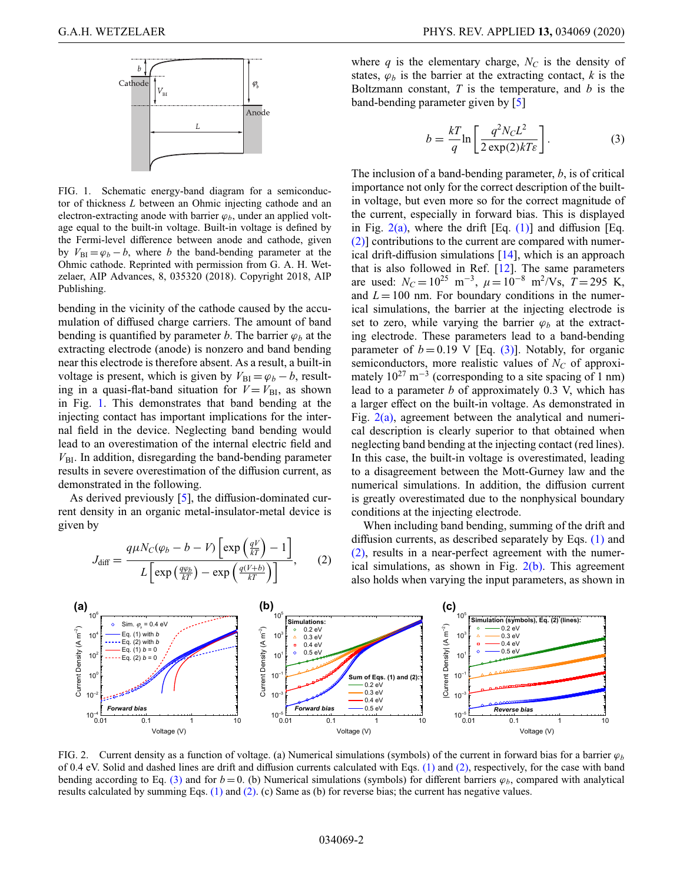<span id="page-1-0"></span>

FIG. 1. Schematic energy-band diagram for a semiconductor of thickness *L* between an Ohmic injecting cathode and an electron-extracting anode with barrier  $\varphi_b$ , under an applied voltage equal to the built-in voltage. Built-in voltage is defined by the Fermi-level difference between anode and cathode, given by  $V_{\text{BI}} = \varphi_b - b$ , where *b* the band-bending parameter at the Ohmic cathode. Reprinted with permission from G. A. H. Wetzelaer, AIP Advances, 8, 035320 (2018). Copyright 2018, AIP Publishing.

bending in the vicinity of the cathode caused by the accumulation of diffused charge carriers. The amount of band bending is quantified by parameter *b*. The barrier  $\varphi_b$  at the extracting electrode (anode) is nonzero and band bending near this electrode is therefore absent. As a result, a built-in voltage is present, which is given by  $V_{\text{BI}} = \varphi_b - b$ , resulting in a quasi-flat-band situation for  $V = V_{\text{BI}}$ , as shown in Fig. [1.](#page-1-0) This demonstrates that band bending at the injecting contact has important implications for the internal field in the device. Neglecting band bending would lead to an overestimation of the internal electric field and  $V_{\text{BI}}$ . In addition, disregarding the band-bending parameter results in severe overestimation of the diffusion current, as demonstrated in the following.

As derived previously [\[5\]](#page-4-4), the diffusion-dominated current density in an organic metal-insulator-metal device is given by

$$
J_{\text{diff}} = \frac{q\mu N_C(\varphi_b - b - V) \left[ \exp\left(\frac{qV}{kT}\right) - 1 \right]}{L \left[ \exp\left(\frac{q\varphi_b}{kT}\right) - \exp\left(\frac{q(V+b)}{kT}\right) \right]},\qquad(2)
$$

where  $q$  is the elementary charge,  $N_c$  is the density of states,  $\varphi_b$  is the barrier at the extracting contact,  $k$  is the Boltzmann constant, *T* is the temperature, and *b* is the band-bending parameter given by [\[5\]](#page-4-4)

<span id="page-1-3"></span>
$$
b = \frac{kT}{q} \ln \left[ \frac{q^2 N_C L^2}{2 \exp(2)kT\epsilon} \right].
$$
 (3)

The inclusion of a band-bending parameter, *b*, is of critical importance not only for the correct description of the builtin voltage, but even more so for the correct magnitude of the current, especially in forward bias. This is displayed in Fig.  $2(a)$ , where the drift [Eq. [\(1\)\]](#page-0-1) and diffusion [Eq. [\(2\)\]](#page-1-2) contributions to the current are compared with numerical drift-diffusion simulations [\[14\]](#page-4-12), which is an approach that is also followed in Ref. [\[12\]](#page-4-11). The same parameters are used:  $N_c = 10^{25}$  m<sup>-3</sup>,  $\mu = 10^{-8}$  m<sup>2</sup>/Vs,  $T = 295$  K, and  $L = 100$  nm. For boundary conditions in the numerical simulations, the barrier at the injecting electrode is set to zero, while varying the barrier  $\varphi_b$  at the extracting electrode. These parameters lead to a band-bending parameter of  $b = 0.19$  V [Eq. [\(3\)\]](#page-1-3). Notably, for organic semiconductors, more realistic values of  $N_C$  of approximately  $10^{27}$  m<sup>-3</sup> (corresponding to a site spacing of 1 nm) lead to a parameter *b* of approximately 0.3 V, which has a larger effect on the built-in voltage. As demonstrated in Fig.  $2(a)$ , agreement between the analytical and numerical description is clearly superior to that obtained when neglecting band bending at the injecting contact (red lines). In this case, the built-in voltage is overestimated, leading to a disagreement between the Mott-Gurney law and the numerical simulations. In addition, the diffusion current is greatly overestimated due to the nonphysical boundary conditions at the injecting electrode.

<span id="page-1-2"></span>When including band bending, summing of the drift and diffusion currents, as described separately by Eqs. [\(1\)](#page-0-1) and [\(2\),](#page-1-2) results in a near-perfect agreement with the numerical simulations, as shown in Fig.  $2(b)$ . This agreement also holds when varying the input parameters, as shown in

<span id="page-1-1"></span>

FIG. 2. Current density as a function of voltage. (a) Numerical simulations (symbols) of the current in forward bias for a barrier  $\varphi_b$ of 0.4 eV. Solid and dashed lines are drift and diffusion currents calculated with Eqs.  $(1)$  and  $(2)$ , respectively, for the case with band bending according to Eq. [\(3\)](#page-1-3) and for  $b = 0$ . (b) Numerical simulations (symbols) for different barriers  $\varphi_b$ , compared with analytical results calculated by summing Eqs. [\(1\)](#page-0-1) and [\(2\).](#page-1-2) (c) Same as (b) for reverse bias; the current has negative values.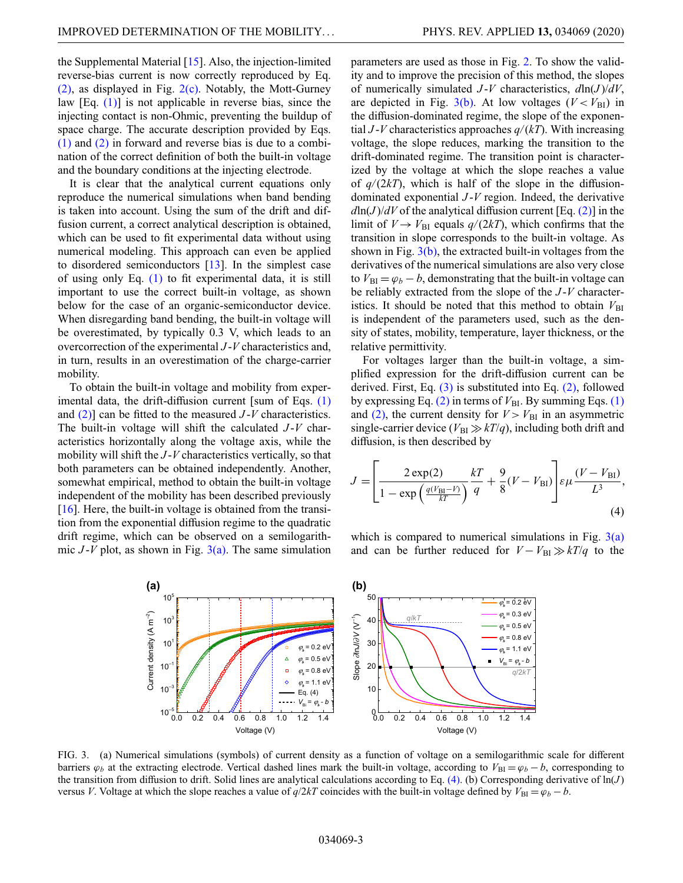the Supplemental Material [\[15\]](#page-4-13). Also, the injection-limited reverse-bias current is now correctly reproduced by Eq.  $(2)$ , as displayed in Fig.  $2(c)$ . Notably, the Mott-Gurney law  $[Eq. (1)]$  $[Eq. (1)]$  is not applicable in reverse bias, since the injecting contact is non-Ohmic, preventing the buildup of space charge. The accurate description provided by Eqs. [\(1\)](#page-0-1) and [\(2\)](#page-1-2) in forward and reverse bias is due to a combination of the correct definition of both the built-in voltage and the boundary conditions at the injecting electrode.

It is clear that the analytical current equations only reproduce the numerical simulations when band bending is taken into account. Using the sum of the drift and diffusion current, a correct analytical description is obtained, which can be used to fit experimental data without using numerical modeling. This approach can even be applied to disordered semiconductors [\[13\]](#page-4-14). In the simplest case of using only Eq. [\(1\)](#page-0-1) to fit experimental data, it is still important to use the correct built-in voltage, as shown below for the case of an organic-semiconductor device. When disregarding band bending, the built-in voltage will be overestimated, by typically 0.3 V, which leads to an overcorrection of the experimental *J* -*V* characteristics and, in turn, results in an overestimation of the charge-carrier mobility.

To obtain the built-in voltage and mobility from exper-imental data, the drift-diffusion current [sum of Eqs. [\(1\)](#page-0-1) and [\(2\)\]](#page-1-2) can be fitted to the measured *J* -*V* characteristics. The built-in voltage will shift the calculated *J* -*V* characteristics horizontally along the voltage axis, while the mobility will shift the *J* -*V* characteristics vertically, so that both parameters can be obtained independently. Another, somewhat empirical, method to obtain the built-in voltage independent of the mobility has been described previously  $[16]$ . Here, the built-in voltage is obtained from the transition from the exponential diffusion regime to the quadratic drift regime, which can be observed on a semilogarithmic  $J-V$  plot, as shown in Fig.  $3(a)$ . The same simulation parameters are used as those in Fig. [2.](#page-1-1) To show the validity and to improve the precision of this method, the slopes of numerically simulated *J* -*V* characteristics, *d*ln(*J* )/*dV*, are depicted in Fig.  $3(b)$ . At low voltages ( $V < V_{\text{BI}}$ ) in the diffusion-dominated regime, the slope of the exponential *J* -*V* characteristics approaches *q/*(*kT*). With increasing voltage, the slope reduces, marking the transition to the drift-dominated regime. The transition point is characterized by the voltage at which the slope reaches a value of  $q/(2kT)$ , which is half of the slope in the diffusiondominated exponential *J* -*V* region. Indeed, the derivative  $dln(J)/dV$  of the analytical diffusion current [Eq. [\(2\)\]](#page-1-2) in the limit of  $V \rightarrow V_{\text{BI}}$  equals  $q/(2kT)$ , which confirms that the transition in slope corresponds to the built-in voltage. As shown in Fig.  $3(b)$ , the extracted built-in voltages from the derivatives of the numerical simulations are also very close to  $V_{\text{BI}} = \varphi_b - b$ , demonstrating that the built-in voltage can be reliably extracted from the slope of the *J* -*V* characteristics. It should be noted that this method to obtain  $V_{\text{BI}}$ is independent of the parameters used, such as the density of states, mobility, temperature, layer thickness, or the relative permittivity.

For voltages larger than the built-in voltage, a simplified expression for the drift-diffusion current can be derived. First, Eq. [\(3\)](#page-1-3) is substituted into Eq. [\(2\),](#page-1-2) followed by expressing Eq.  $(2)$  in terms of  $V_{\text{BI}}$ . By summing Eqs.  $(1)$ and [\(2\),](#page-1-2) the current density for  $V > V_{\text{BI}}$  in an asymmetric single-carrier device ( $V_{\text{BI}} \gg kT/q$ ), including both drift and diffusion, is then described by

<span id="page-2-1"></span>
$$
J = \left[\frac{2 \exp(2)}{1 - \exp\left(\frac{q(V_{\text{BI}} - V)}{kT}\right)} \frac{kT}{q} + \frac{9}{8}(V - V_{\text{BI}})\right] \varepsilon \mu \frac{(V - V_{\text{BI}})}{L^3},\tag{4}
$$

which is compared to numerical simulations in Fig.  $3(a)$ and can be further reduced for  $V - V_{\text{BI}} \gg kT/q$  to the

<span id="page-2-0"></span>

FIG. 3. (a) Numerical simulations (symbols) of current density as a function of voltage on a semilogarithmic scale for different barriers  $\varphi_b$  at the extracting electrode. Vertical dashed lines mark the built-in voltage, according to  $V_{\text{BI}} = \varphi_b - b$ , corresponding to the transition from diffusion to drift. Solid lines are analytical calculations according to Eq.  $(4)$ . (b) Corresponding derivative of  $\ln(J)$ versus *V*. Voltage at which the slope reaches a value of  $q/2kT$  coincides with the built-in voltage defined by  $V_{\text{BI}} = \varphi_b - b$ .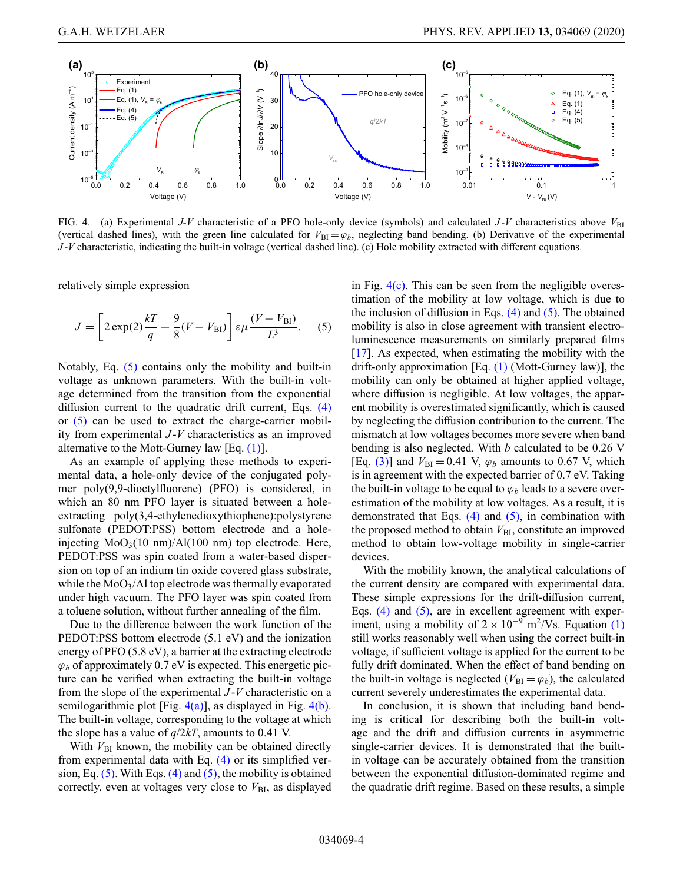<span id="page-3-1"></span>

FIG. 4. (a) Experimental *J-V* characteristic of a PFO hole-only device (symbols) and calculated *J-V* characteristics above  $V_{\text{B}}$ (vertical dashed lines), with the green line calculated for  $V_{\text{BI}} = \varphi_b$ , neglecting band bending. (b) Derivative of the experimental *J* -*V* characteristic, indicating the built-in voltage (vertical dashed line). (c) Hole mobility extracted with different equations.

relatively simple expression

$$
J = \left[2\exp(2)\frac{kT}{q} + \frac{9}{8}(V - V_{\rm BI})\right]\varepsilon\mu\frac{(V - V_{\rm BI})}{L^3}.
$$
 (5)

Notably, Eq. [\(5\)](#page-3-0) contains only the mobility and built-in voltage as unknown parameters. With the built-in voltage determined from the transition from the exponential diffusion current to the quadratic drift current, Eqs. [\(4\)](#page-2-1) or [\(5\)](#page-3-0) can be used to extract the charge-carrier mobility from experimental *J* -*V* characteristics as an improved alternative to the Mott-Gurney law [Eq.  $(1)$ ].

As an example of applying these methods to experimental data, a hole-only device of the conjugated polymer poly(9,9-dioctylfluorene) (PFO) is considered, in which an 80 nm PFO layer is situated between a holeextracting poly(3,4-ethylenedioxythiophene):polystyrene sulfonate (PEDOT:PSS) bottom electrode and a holeinjecting  $MoO<sub>3</sub>(10 nm)/Al(100 nm)$  top electrode. Here, PEDOT:PSS was spin coated from a water-based dispersion on top of an indium tin oxide covered glass substrate, while the  $MoO<sub>3</sub>/Al$  top electrode was thermally evaporated under high vacuum. The PFO layer was spin coated from a toluene solution, without further annealing of the film.

Due to the difference between the work function of the PEDOT:PSS bottom electrode (5.1 eV) and the ionization energy of PFO (5.8 eV), a barrier at the extracting electrode  $\varphi_b$  of approximately 0.7 eV is expected. This energetic picture can be verified when extracting the built-in voltage from the slope of the experimental *J* -*V* characteristic on a semilogarithmic plot [Fig.  $4(a)$ ], as displayed in Fig.  $4(b)$ . The built-in voltage, corresponding to the voltage at which the slope has a value of  $q/2kT$ , amounts to 0.41 V.

With  $V_{\text{BI}}$  known, the mobility can be obtained directly from experimental data with Eq. [\(4\)](#page-2-1) or its simplified version, Eq.  $(5)$ . With Eqs.  $(4)$  and  $(5)$ , the mobility is obtained correctly, even at voltages very close to  $V_{\text{BI}}$ , as displayed <span id="page-3-0"></span>in Fig.  $4(c)$ . This can be seen from the negligible overestimation of the mobility at low voltage, which is due to the inclusion of diffusion in Eqs.  $(4)$  and  $(5)$ . The obtained mobility is also in close agreement with transient electroluminescence measurements on similarly prepared films [\[17\]](#page-4-16). As expected, when estimating the mobility with the drift-only approximation [Eq. [\(1\)](#page-0-1) (Mott-Gurney law)], the mobility can only be obtained at higher applied voltage, where diffusion is negligible. At low voltages, the apparent mobility is overestimated significantly, which is caused by neglecting the diffusion contribution to the current. The mismatch at low voltages becomes more severe when band bending is also neglected. With *b* calculated to be 0.26 V [Eq. [\(3\)\]](#page-1-3) and  $V_{\text{BI}} = 0.41$  V,  $\varphi_b$  amounts to 0.67 V, which is in agreement with the expected barrier of 0.7 eV. Taking the built-in voltage to be equal to  $\varphi_b$  leads to a severe overestimation of the mobility at low voltages. As a result, it is demonstrated that Eqs.  $(4)$  and  $(5)$ , in combination with the proposed method to obtain  $V_{\text{BI}}$ , constitute an improved method to obtain low-voltage mobility in single-carrier devices.

With the mobility known, the analytical calculations of the current density are compared with experimental data. These simple expressions for the drift-diffusion current, Eqs.  $(4)$  and  $(5)$ , are in excellent agreement with experiment, using a mobility of  $2 \times 10^{-9}$  m<sup>2</sup>/Vs. Equation [\(1\)](#page-0-1) still works reasonably well when using the correct built-in voltage, if sufficient voltage is applied for the current to be fully drift dominated. When the effect of band bending on the built-in voltage is neglected ( $V_{\text{BI}} = \varphi_b$ ), the calculated current severely underestimates the experimental data.

In conclusion, it is shown that including band bending is critical for describing both the built-in voltage and the drift and diffusion currents in asymmetric single-carrier devices. It is demonstrated that the builtin voltage can be accurately obtained from the transition between the exponential diffusion-dominated regime and the quadratic drift regime. Based on these results, a simple